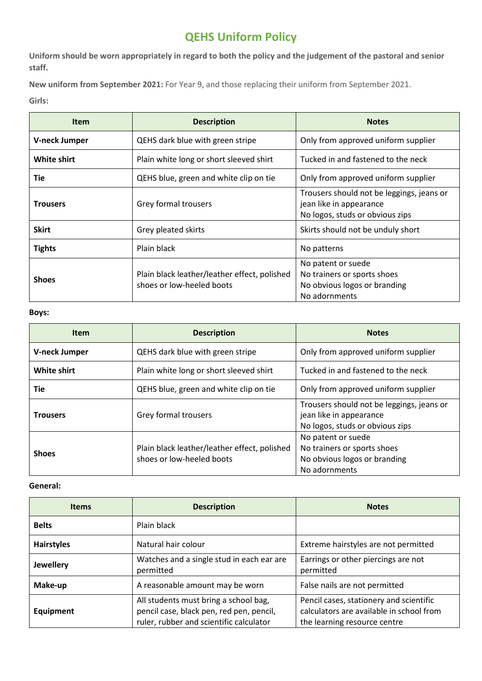# **QEHS Uniform Policy**

**Uniform should be worn appropriately in regard to both the policy and the judgement of the pastoral and senior staff.**

**New uniform from September 2021:** For Year 9, and those replacing their uniform from September 2021. **Girls:**

| <b>Item</b>          | <b>Description</b>                                                        | <b>Notes</b>                                                                                            |
|----------------------|---------------------------------------------------------------------------|---------------------------------------------------------------------------------------------------------|
| <b>V-neck Jumper</b> | QEHS dark blue with green stripe                                          | Only from approved uniform supplier                                                                     |
| White shirt          | Plain white long or short sleeved shirt                                   | Tucked in and fastened to the neck                                                                      |
| Tie                  | QEHS blue, green and white clip on tie                                    | Only from approved uniform supplier                                                                     |
| <b>Trousers</b>      | Grey formal trousers                                                      | Trousers should not be leggings, jeans or<br>jean like in appearance<br>No logos, studs or obvious zips |
| <b>Skirt</b>         | Grey pleated skirts                                                       | Skirts should not be unduly short                                                                       |
| <b>Tights</b>        | Plain black                                                               | No patterns                                                                                             |
| <b>Shoes</b>         | Plain black leather/leather effect, polished<br>shoes or low-heeled boots | No patent or suede<br>No trainers or sports shoes<br>No obvious logos or branding<br>No adornments      |

### **Boys:**

| <b>Item</b>          | <b>Description</b>                                                        | <b>Notes</b>                                                                                            |
|----------------------|---------------------------------------------------------------------------|---------------------------------------------------------------------------------------------------------|
| <b>V-neck Jumper</b> | QEHS dark blue with green stripe                                          | Only from approved uniform supplier                                                                     |
| <b>White shirt</b>   | Plain white long or short sleeved shirt                                   | Tucked in and fastened to the neck                                                                      |
| Tie                  | QEHS blue, green and white clip on tie                                    | Only from approved uniform supplier                                                                     |
| <b>Trousers</b>      | Grey formal trousers                                                      | Trousers should not be leggings, jeans or<br>jean like in appearance<br>No logos, studs or obvious zips |
| <b>Shoes</b>         | Plain black leather/leather effect, polished<br>shoes or low-heeled boots | No patent or suede<br>No trainers or sports shoes<br>No obvious logos or branding<br>No adornments      |

### **General:**

| <b>Items</b>      | <b>Description</b>                                                                                                           | <b>Notes</b>                                                                                                        |
|-------------------|------------------------------------------------------------------------------------------------------------------------------|---------------------------------------------------------------------------------------------------------------------|
| <b>Belts</b>      | Plain black                                                                                                                  |                                                                                                                     |
| <b>Hairstyles</b> | Natural hair colour                                                                                                          | Extreme hairstyles are not permitted                                                                                |
| <b>Jewellery</b>  | Watches and a single stud in each ear are<br>permitted                                                                       | Earrings or other piercings are not<br>permitted                                                                    |
| Make-up           | A reasonable amount may be worn                                                                                              | False nails are not permitted                                                                                       |
| Equipment         | All students must bring a school bag,<br>pencil case, black pen, red pen, pencil,<br>ruler, rubber and scientific calculator | Pencil cases, stationery and scientific<br>calculators are available in school from<br>the learning resource centre |